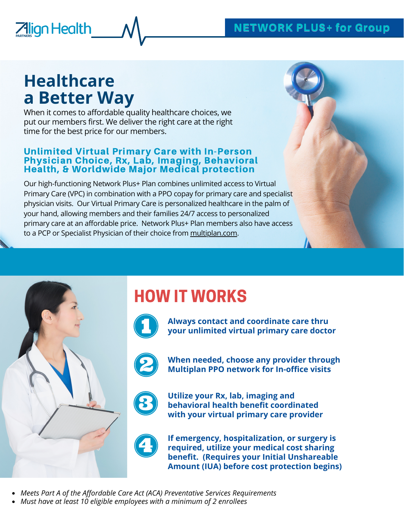## NETWORK PLUS+ for Group

# **Healthcare a Better Way**

**Align Health** 

When it comes to affordable quality healthcare choices, we put our members first. We deliver the right care at the right time for the best price for our members.

#### Unlimited Virtual Primary Care with In-Person Physician Choice, Rx, Lab, Imaging, Behavioral Health, & Worldwide Major Medical protection

Our high-functioning Network Plus+ Plan combines unlimited access to Virtual Primary Care (VPC) in combination with a PPO copay for primary care and specialist physician visits. Our Virtual Primary Care is personalized healthcare in the palm of your hand, allowing members and their families 24/7 access to personalized primary care at an affordable price. Network Plus+ Plan members also have access to a PCP or Specialist Physician of their choice from [multiplan.com](http://www.multiplan.com/).



HOW IT WORKS



**Always contact and coordinate care thru your unlimited virtual primary care doctor**



**When needed, choose any provider through Multiplan PPO network for In-office visits**



**Utilize your Rx, lab, imaging and behavioral health benefit coordinated with your virtual primary care provider**



**If emergency, hospitalization, or surgery is required, utilize your medical cost sharing benefit. (Requires your Initial Unshareable Amount (IUA) before cost protection begins)**

- *Meets Part A of the Affordable Care Act (ACA) Preventative Services Requirements*
- *Must have at least 10 eligible employees with a minimum of 2 enrollees*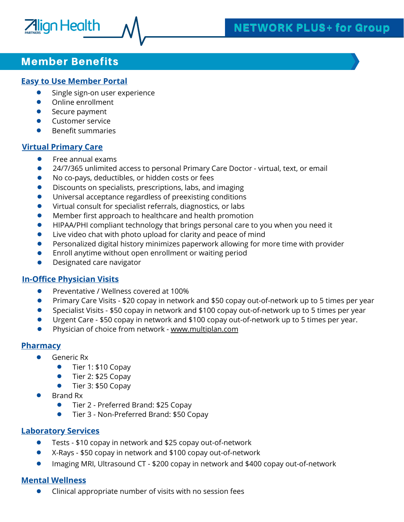# NETWORK PLUS+ for Group

### Member Benefits

**Align Health** 

#### **Easy to Use Member Portal**

- Single sign-on user experience
- $\bullet$ Online enrollment
- $\bullet$ Secure payment
- Customer service  $\bullet$
- $\bullet$ Benefit summaries

#### **Virtual Primary Care**

- $\bullet$ Free annual exams
- $\bullet$ 24/7/365 unlimited access to personal Primary Care Doctor - virtual, text, or email
- No co-pays, deductibles, or hidden costs or fees  $\bullet$
- Discounts on specialists, prescriptions, labs, and imaging  $\bullet$
- Universal acceptance regardless of preexisting conditions  $\bullet$
- Virtual consult for specialist referrals, diagnostics, or labs  $\bullet$
- Member first approach to healthcare and health promotion  $\bullet$
- HIPAA/PHI compliant technology that brings personal care to you when you need it  $\bullet$
- $\bullet$ Live video chat with photo upload for clarity and peace of mind
- Personalized digital history minimizes paperwork allowing for more time with provider  $\bullet$
- Enroll anytime without open enrollment or waiting period  $\bullet$
- $\bullet$ Designated care navigator

#### **In-Office Physician Visits**

- $\bullet$ Preventative / Wellness covered at 100%
- Primary Care Visits \$20 copay in network and \$50 copay out-of-network up to 5 times per year  $\bullet$
- Specialist Visits \$50 copay in network and \$100 copay out-of-network up to 5 times per year  $\bullet$
- $\bullet$ Urgent Care - \$50 copay in network and \$100 copay out-of-network up to 5 times per year.
- Physician of choice from network [www.multiplan.com](http://www.multiplan.com/)  $\bullet$

#### **Pharmacy**

- Generic Rx
	- Tier 1: \$10 Copay  $\bullet$
	- Tier 2: \$25 Copay
	- $\bullet$ Tier 3: \$50 Copay
- Brand Rx
	- $\bullet$ Tier 2 - Preferred Brand: \$25 Copay
	- $\bullet$ Tier 3 - Non-Preferred Brand: \$50 Copay

#### **Laboratory Services**

- Tests \$10 copay in network and \$25 copay out-of-network  $\bullet$
- X-Rays \$50 copay in network and \$100 copay out-of-network  $\bullet$
- $\bullet$ Imaging MRI, Ultrasound CT - \$200 copay in network and \$400 copay out-of-network

#### **Mental Wellness**

Clinical appropriate number of visits with no session fees